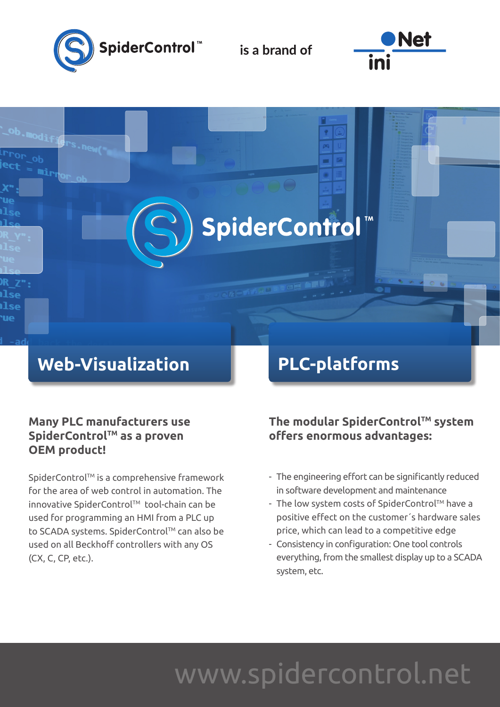

is a brand of

SpiderControl



### **Web-Visualization**

### **Many PLC manufacturers use**  SpiderControl<sup>™</sup> as a proven **OEM product!**

SpiderControl™ is a comprehensive framework for the area of web control in automation. The innovative SpiderControl™ tool-chain can be used for programming an HMI from a PLC up to SCADA systems. SpiderControl™ can also be used on all Beckhoff controllers with any OS (CX, C, CP, etc.).

## **PLC-platforms**

The modular SpiderControl™ system **offers enormous advantages:**

- The engineering effort can be significantly reduced in software development and maintenance
- The low system costs of SpiderControl™ have a positive effect on the customer´s hardware sales price, which can lead to a competitive edge
- Consistency in configuration: One tool controls everything, from the smallest display up to a SCADA system, etc.

## www.spidercontrol.net